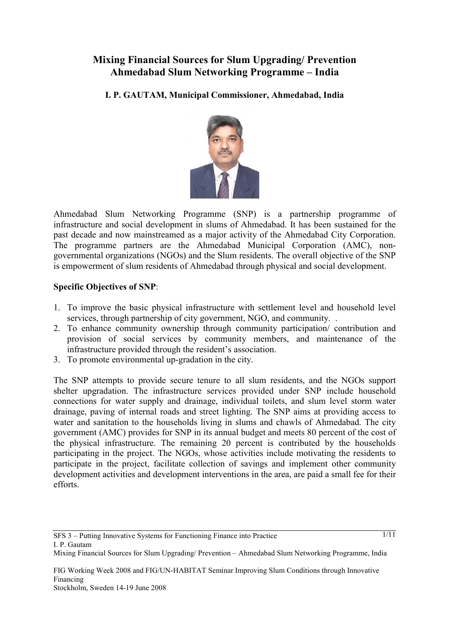# **Mixing Financial Sources for Slum Upgrading/ Prevention Ahmedabad Slum Networking Programme – India**

**I. P. GAUTAM, Municipal Commissioner, Ahmedabad, India** 



Ahmedabad Slum Networking Programme (SNP) is a partnership programme of infrastructure and social development in slums of Ahmedabad. It has been sustained for the past decade and now mainstreamed as a major activity of the Ahmedabad City Corporation. The programme partners are the Ahmedabad Municipal Corporation (AMC), nongovernmental organizations (NGOs) and the Slum residents. The overall objective of the SNP is empowerment of slum residents of Ahmedabad through physical and social development.

# **Specific Objectives of SNP**:

- 1. To improve the basic physical infrastructure with settlement level and household level services, through partnership of city government, NGO, and community. .
- 2. To enhance community ownership through community participation/ contribution and provision of social services by community members, and maintenance of the infrastructure provided through the resident's association.
- 3. To promote environmental up-gradation in the city.

The SNP attempts to provide secure tenure to all slum residents, and the NGOs support shelter upgradation. The infrastructure services provided under SNP include household connections for water supply and drainage, individual toilets, and slum level storm water drainage, paving of internal roads and street lighting. The SNP aims at providing access to water and sanitation to the households living in slums and chawls of Ahmedabad. The city government (AMC) provides for SNP in its annual budget and meets 80 percent of the cost of the physical infrastructure. The remaining 20 percent is contributed by the households participating in the project. The NGOs, whose activities include motivating the residents to participate in the project, facilitate collection of savings and implement other community development activities and development interventions in the area, are paid a small fee for their efforts.

SFS 3 – Putting Innovative Systems for Functioning Finance into Practice I. P. Gautam

Mixing Financial Sources for Slum Upgrading/ Prevention – Ahmedabad Slum Networking Programme, India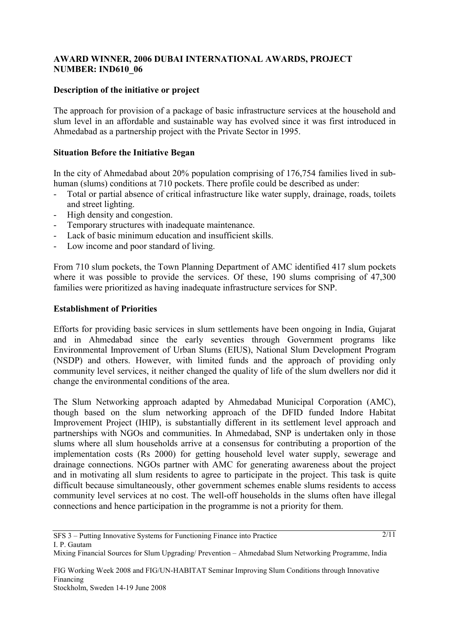### **AWARD WINNER, 2006 DUBAI INTERNATIONAL AWARDS, PROJECT NUMBER: IND610\_06**

### **Description of the initiative or project**

The approach for provision of a package of basic infrastructure services at the household and slum level in an affordable and sustainable way has evolved since it was first introduced in Ahmedabad as a partnership project with the Private Sector in 1995.

#### **Situation Before the Initiative Began**

In the city of Ahmedabad about 20% population comprising of 176,754 families lived in subhuman (slums) conditions at 710 pockets. There profile could be described as under:

- Total or partial absence of critical infrastructure like water supply, drainage, roads, toilets and street lighting.
- High density and congestion.
- Temporary structures with inadequate maintenance.
- Lack of basic minimum education and insufficient skills.
- Low income and poor standard of living.

From 710 slum pockets, the Town Planning Department of AMC identified 417 slum pockets where it was possible to provide the services. Of these, 190 slums comprising of 47,300 families were prioritized as having inadequate infrastructure services for SNP.

#### **Establishment of Priorities**

Efforts for providing basic services in slum settlements have been ongoing in India, Gujarat and in Ahmedabad since the early seventies through Government programs like Environmental Improvement of Urban Slums (EIUS), National Slum Development Program (NSDP) and others. However, with limited funds and the approach of providing only community level services, it neither changed the quality of life of the slum dwellers nor did it change the environmental conditions of the area.

The Slum Networking approach adapted by Ahmedabad Municipal Corporation (AMC), though based on the slum networking approach of the DFID funded Indore Habitat Improvement Project (IHIP), is substantially different in its settlement level approach and partnerships with NGOs and communities. In Ahmedabad, SNP is undertaken only in those slums where all slum households arrive at a consensus for contributing a proportion of the implementation costs (Rs 2000) for getting household level water supply, sewerage and drainage connections. NGOs partner with AMC for generating awareness about the project and in motivating all slum residents to agree to participate in the project. This task is quite difficult because simultaneously, other government schemes enable slums residents to access community level services at no cost. The well-off households in the slums often have illegal connections and hence participation in the programme is not a priority for them.

<sup>2/11</sup>

Mixing Financial Sources for Slum Upgrading/ Prevention – Ahmedabad Slum Networking Programme, India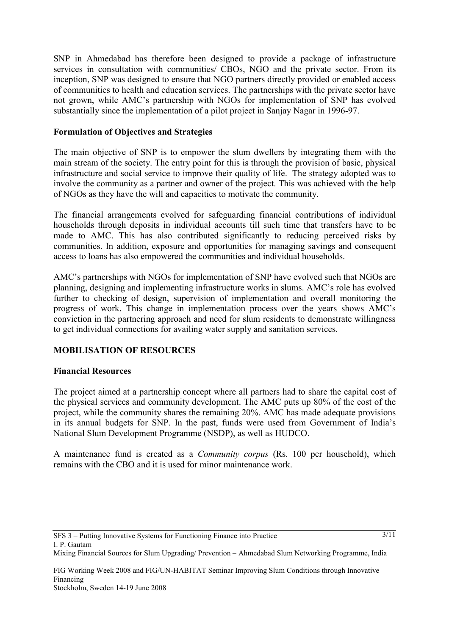SNP in Ahmedabad has therefore been designed to provide a package of infrastructure services in consultation with communities/ CBOs, NGO and the private sector. From its inception, SNP was designed to ensure that NGO partners directly provided or enabled access of communities to health and education services. The partnerships with the private sector have not grown, while AMC's partnership with NGOs for implementation of SNP has evolved substantially since the implementation of a pilot project in Sanjay Nagar in 1996-97.

# **Formulation of Objectives and Strategies**

The main objective of SNP is to empower the slum dwellers by integrating them with the main stream of the society. The entry point for this is through the provision of basic, physical infrastructure and social service to improve their quality of life. The strategy adopted was to involve the community as a partner and owner of the project. This was achieved with the help of NGOs as they have the will and capacities to motivate the community.

The financial arrangements evolved for safeguarding financial contributions of individual households through deposits in individual accounts till such time that transfers have to be made to AMC. This has also contributed significantly to reducing perceived risks by communities. In addition, exposure and opportunities for managing savings and consequent access to loans has also empowered the communities and individual households.

AMC's partnerships with NGOs for implementation of SNP have evolved such that NGOs are planning, designing and implementing infrastructure works in slums. AMC's role has evolved further to checking of design, supervision of implementation and overall monitoring the progress of work. This change in implementation process over the years shows AMC's conviction in the partnering approach and need for slum residents to demonstrate willingness to get individual connections for availing water supply and sanitation services.

### **MOBILISATION OF RESOURCES**

### **Financial Resources**

The project aimed at a partnership concept where all partners had to share the capital cost of the physical services and community development. The AMC puts up 80% of the cost of the project, while the community shares the remaining 20%. AMC has made adequate provisions in its annual budgets for SNP. In the past, funds were used from Government of India's National Slum Development Programme (NSDP), as well as HUDCO.

A maintenance fund is created as a *Community corpus* (Rs. 100 per household), which remains with the CBO and it is used for minor maintenance work.

Mixing Financial Sources for Slum Upgrading/ Prevention – Ahmedabad Slum Networking Programme, India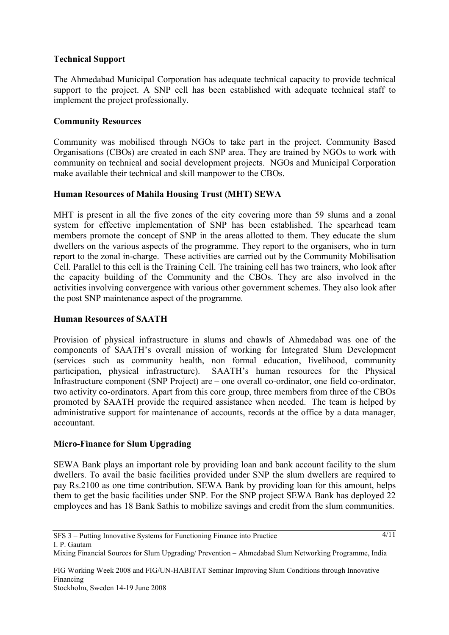### **Technical Support**

The Ahmedabad Municipal Corporation has adequate technical capacity to provide technical support to the project. A SNP cell has been established with adequate technical staff to implement the project professionally.

### **Community Resources**

Community was mobilised through NGOs to take part in the project. Community Based Organisations (CBOs) are created in each SNP area. They are trained by NGOs to work with community on technical and social development projects. NGOs and Municipal Corporation make available their technical and skill manpower to the CBOs.

# **Human Resources of Mahila Housing Trust (MHT) SEWA**

MHT is present in all the five zones of the city covering more than 59 slums and a zonal system for effective implementation of SNP has been established. The spearhead team members promote the concept of SNP in the areas allotted to them. They educate the slum dwellers on the various aspects of the programme. They report to the organisers, who in turn report to the zonal in-charge. These activities are carried out by the Community Mobilisation Cell. Parallel to this cell is the Training Cell. The training cell has two trainers, who look after the capacity building of the Community and the CBOs. They are also involved in the activities involving convergence with various other government schemes. They also look after the post SNP maintenance aspect of the programme.

### **Human Resources of SAATH**

Provision of physical infrastructure in slums and chawls of Ahmedabad was one of the components of SAATH's overall mission of working for Integrated Slum Development (services such as community health, non formal education, livelihood, community participation, physical infrastructure). SAATH's human resources for the Physical Infrastructure component (SNP Project) are – one overall co-ordinator, one field co-ordinator, two activity co-ordinators. Apart from this core group, three members from three of the CBOs promoted by SAATH provide the required assistance when needed. The team is helped by administrative support for maintenance of accounts, records at the office by a data manager, accountant.

### **Micro-Finance for Slum Upgrading**

SEWA Bank plays an important role by providing loan and bank account facility to the slum dwellers. To avail the basic facilities provided under SNP the slum dwellers are required to pay Rs.2100 as one time contribution. SEWA Bank by providing loan for this amount, helps them to get the basic facilities under SNP. For the SNP project SEWA Bank has deployed 22 employees and has 18 Bank Sathis to mobilize savings and credit from the slum communities.

Mixing Financial Sources for Slum Upgrading/ Prevention – Ahmedabad Slum Networking Programme, India

<sup>4/11</sup>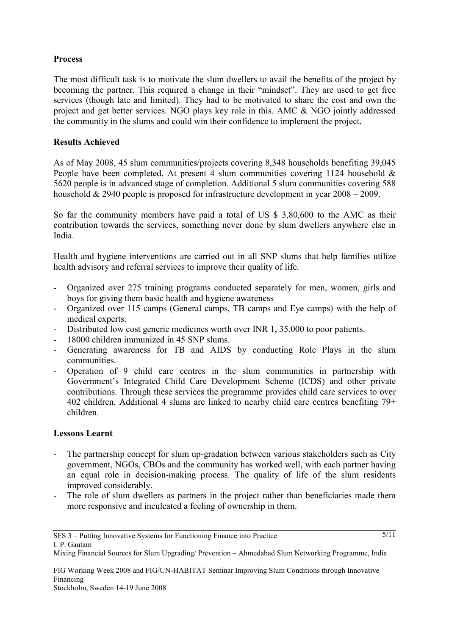# **Process**

The most difficult task is to motivate the slum dwellers to avail the benefits of the project by becoming the partner. This required a change in their "mindset". They are used to get free services (though late and limited). They had to be motivated to share the cost and own the project and get better services. NGO plays key role in this. AMC & NGO jointly addressed the community in the slums and could win their confidence to implement the project.

### **Results Achieved**

As of May 2008, 45 slum communities/projects covering 8,348 households benefiting 39,045 People have been completed. At present 4 slum communities covering 1124 household  $\&$ 5620 people is in advanced stage of completion. Additional 5 slum communities covering 588 household & 2940 people is proposed for infrastructure development in year 2008 – 2009.

So far the community members have paid a total of US \$ 3,80,600 to the AMC as their contribution towards the services, something never done by slum dwellers anywhere else in India.

Health and hygiene interventions are carried out in all SNP slums that help families utilize health advisory and referral services to improve their quality of life.

- Organized over 275 training programs conducted separately for men, women, girls and boys for giving them basic health and hygiene awareness
- Organized over 115 camps (General camps, TB camps and Eye camps) with the help of medical experts.
- Distributed low cost generic medicines worth over INR 1, 35,000 to poor patients.
- 18000 children immunized in 45 SNP slums.
- Generating awareness for TB and AIDS by conducting Role Plays in the slum communities.
- Operation of 9 child care centres in the slum communities in partnership with Government's Integrated Child Care Development Scheme (ICDS) and other private contributions. Through these services the programme provides child care services to over 402 children. Additional 4 slums are linked to nearby child care centres benefiting 79+ children.

### **Lessons Learnt**

- The partnership concept for slum up-gradation between various stakeholders such as City government, NGOs, CBOs and the community has worked well, with each partner having an equal role in decision-making process. The quality of life of the slum residents improved considerably.
- The role of slum dwellers as partners in the project rather than beneficiaries made them more responsive and inculcated a feeling of ownership in them.

FIG Working Week 2008 and FIG/UN-HABITAT Seminar Improving Slum Conditions through Innovative Financing

Mixing Financial Sources for Slum Upgrading/ Prevention – Ahmedabad Slum Networking Programme, India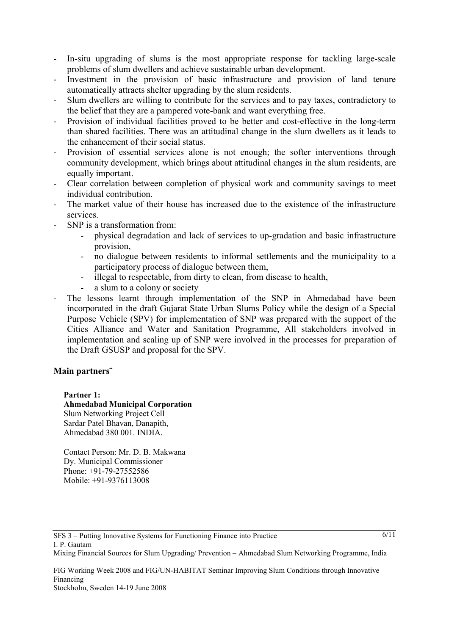- In-situ upgrading of slums is the most appropriate response for tackling large-scale problems of slum dwellers and achieve sustainable urban development.
- Investment in the provision of basic infrastructure and provision of land tenure automatically attracts shelter upgrading by the slum residents.
- Slum dwellers are willing to contribute for the services and to pay taxes, contradictory to the belief that they are a pampered vote-bank and want everything free.
- Provision of individual facilities proved to be better and cost-effective in the long-term than shared facilities. There was an attitudinal change in the slum dwellers as it leads to the enhancement of their social status.
- Provision of essential services alone is not enough; the softer interventions through community development, which brings about attitudinal changes in the slum residents, are equally important.
- Clear correlation between completion of physical work and community savings to meet individual contribution.
- The market value of their house has increased due to the existence of the infrastructure services.
- SNP is a transformation from:
	- physical degradation and lack of services to up-gradation and basic infrastructure provision,
	- no dialogue between residents to informal settlements and the municipality to a participatory process of dialogue between them,
	- illegal to respectable, from dirty to clean, from disease to health,
	- a slum to a colony or society
- The lessons learnt through implementation of the SNP in Ahmedabad have been incorporated in the draft Gujarat State Urban Slums Policy while the design of a Special Purpose Vehicle (SPV) for implementation of SNP was prepared with the support of the Cities Alliance and Water and Sanitation Programme, All stakeholders involved in implementation and scaling up of SNP were involved in the processes for preparation of the Draft GSUSP and proposal for the SPV.

#### **Main partners¨**

**Partner 1:**

**Ahmedabad Municipal Corporation**  Slum Networking Project Cell Sardar Patel Bhavan, Danapith, Ahmedabad 380 001. INDIA.

Contact Person: Mr. D. B. Makwana Dy. Municipal Commissioner Phone: +91-79-27552586 Mobile: +91-9376113008

SFS 3 – Putting Innovative Systems for Functioning Finance into Practice I. P. Gautam

Mixing Financial Sources for Slum Upgrading/ Prevention – Ahmedabad Slum Networking Programme, India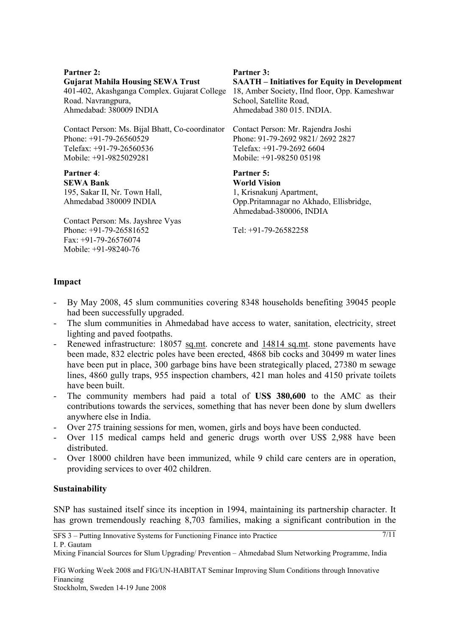#### **Partner 2:**

**Gujarat Mahila Housing SEWA Trust**

Road. Navrangpura, Ahmedabad: 380009 INDIA

Contact Person: Ms. Bijal Bhatt, Co-coordinator Phone: +91-79-26560529 Telefax: +91-79-26560536 Mobile: +91-9825029281

**Partner 4**: **SEWA Bank** 195, Sakar II, Nr. Town Hall, Ahmedabad 380009 INDIA

Contact Person: Ms. Jayshree Vyas Phone: +91-79-26581652 Fax: +91-79-26576074 Mobile: +91-98240-76

#### **Partner 3:**

401-402, Akashganga Complex. Gujarat College 18, Amber Society, IInd floor, Opp. Kameshwar **SAATH – Initiatives for Equity in Development**  School, Satellite Road, Ahmedabad 380 015. INDIA.

> Contact Person: Mr. Rajendra Joshi Phone: 91-79-2692 9821/ 2692 2827 Telefax: +91-79-2692 6604 Mobile: +91-98250 05198

#### **Partner 5:**

**World Vision** 1, Krisnakunj Apartment, Opp.Pritamnagar no Akhado, Ellisbridge, Ahmedabad-380006, INDIA

7/11

Tel: +91-79-26582258

#### **Impact**

- By May 2008, 45 slum communities covering 8348 households benefiting 39045 people had been successfully upgraded.
- The slum communities in Ahmedabad have access to water, sanitation, electricity, street lighting and paved footpaths.
- Renewed infrastructure: 18057 sq.mt. concrete and 14814 sq.mt. stone pavements have been made, 832 electric poles have been erected, 4868 bib cocks and 30499 m water lines have been put in place, 300 garbage bins have been strategically placed, 27380 m sewage lines, 4860 gully traps, 955 inspection chambers, 421 man holes and 4150 private toilets have been built.
- The community members had paid a total of **US\$ 380,600** to the AMC as their contributions towards the services, something that has never been done by slum dwellers anywhere else in India.
- Over 275 training sessions for men, women, girls and boys have been conducted.
- Over 115 medical camps held and generic drugs worth over US\$ 2,988 have been distributed.
- Over 18000 children have been immunized, while 9 child care centers are in operation, providing services to over 402 children.

### **Sustainability**

SNP has sustained itself since its inception in 1994, maintaining its partnership character. It has grown tremendously reaching 8,703 families, making a significant contribution in the

SFS 3 – Putting Innovative Systems for Functioning Finance into Practice I. P. Gautam

FIG Working Week 2008 and FIG/UN-HABITAT Seminar Improving Slum Conditions through Innovative Financing

Mixing Financial Sources for Slum Upgrading/ Prevention – Ahmedabad Slum Networking Programme, India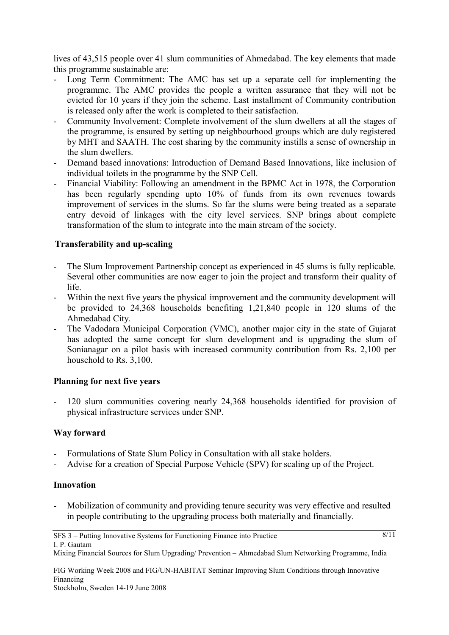lives of 43,515 people over 41 slum communities of Ahmedabad. The key elements that made this programme sustainable are:

- Long Term Commitment: The AMC has set up a separate cell for implementing the programme. The AMC provides the people a written assurance that they will not be evicted for 10 years if they join the scheme. Last installment of Community contribution is released only after the work is completed to their satisfaction.
- Community Involvement: Complete involvement of the slum dwellers at all the stages of the programme, is ensured by setting up neighbourhood groups which are duly registered by MHT and SAATH. The cost sharing by the community instills a sense of ownership in the slum dwellers.
- Demand based innovations: Introduction of Demand Based Innovations, like inclusion of individual toilets in the programme by the SNP Cell.
- Financial Viability: Following an amendment in the BPMC Act in 1978, the Corporation has been regularly spending upto 10% of funds from its own revenues towards improvement of services in the slums. So far the slums were being treated as a separate entry devoid of linkages with the city level services. SNP brings about complete transformation of the slum to integrate into the main stream of the society.

# **Transferability and up-scaling**

- The Slum Improvement Partnership concept as experienced in 45 slums is fully replicable. Several other communities are now eager to join the project and transform their quality of life.
- Within the next five years the physical improvement and the community development will be provided to 24,368 households benefiting 1,21,840 people in 120 slums of the Ahmedabad City.
- The Vadodara Municipal Corporation (VMC), another major city in the state of Gujarat has adopted the same concept for slum development and is upgrading the slum of Sonianagar on a pilot basis with increased community contribution from Rs. 2,100 per household to Rs. 3,100.

### **Planning for next five years**

- 120 slum communities covering nearly 24,368 households identified for provision of physical infrastructure services under SNP.

### **Way forward**

- Formulations of State Slum Policy in Consultation with all stake holders.
- Advise for a creation of Special Purpose Vehicle (SPV) for scaling up of the Project.

### **Innovation**

Mobilization of community and providing tenure security was very effective and resulted in people contributing to the upgrading process both materially and financially.

 $8/11$ 

Mixing Financial Sources for Slum Upgrading/ Prevention – Ahmedabad Slum Networking Programme, India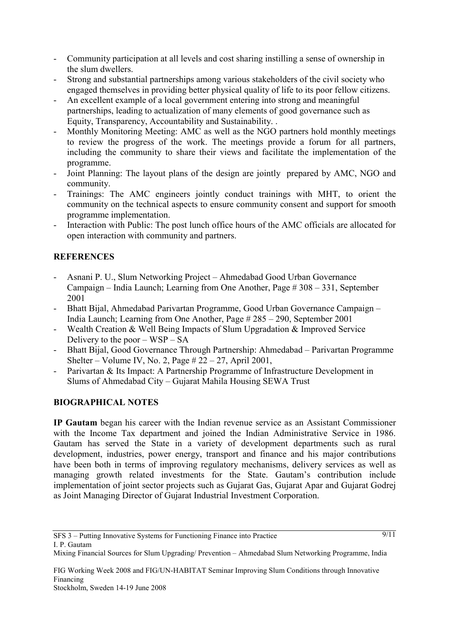- Community participation at all levels and cost sharing instilling a sense of ownership in the slum dwellers.
- Strong and substantial partnerships among various stakeholders of the civil society who engaged themselves in providing better physical quality of life to its poor fellow citizens.
- An excellent example of a local government entering into strong and meaningful partnerships, leading to actualization of many elements of good governance such as Equity, Transparency, Accountability and Sustainability. .
- Monthly Monitoring Meeting: AMC as well as the NGO partners hold monthly meetings to review the progress of the work. The meetings provide a forum for all partners, including the community to share their views and facilitate the implementation of the programme.
- Joint Planning: The layout plans of the design are jointly prepared by AMC, NGO and community.
- Trainings: The AMC engineers jointly conduct trainings with MHT, to orient the community on the technical aspects to ensure community consent and support for smooth programme implementation.
- Interaction with Public: The post lunch office hours of the AMC officials are allocated for open interaction with community and partners.

# **REFERENCES**

- Asnani P. U., Slum Networking Project Ahmedabad Good Urban Governance Campaign – India Launch; Learning from One Another, Page # 308 – 331, September 2001
- Bhatt Bijal, Ahmedabad Parivartan Programme, Good Urban Governance Campaign India Launch; Learning from One Another, Page # 285 – 290, September 2001
- Wealth Creation & Well Being Impacts of Slum Upgradation & Improved Service Delivery to the poor – WSP – SA
- Bhatt Bijal, Good Governance Through Partnership: Ahmedabad Parivartan Programme Shelter – Volume IV, No. 2, Page  $\# 22 - 27$ , April 2001,
- Parivartan & Its Impact: A Partnership Programme of Infrastructure Development in Slums of Ahmedabad City – Gujarat Mahila Housing SEWA Trust

# **BIOGRAPHICAL NOTES**

**IP Gautam** began his career with the Indian revenue service as an Assistant Commissioner with the Income Tax department and joined the Indian Administrative Service in 1986. Gautam has served the State in a variety of development departments such as rural development, industries, power energy, transport and finance and his major contributions have been both in terms of improving regulatory mechanisms, delivery services as well as managing growth related investments for the State. Gautam's contribution include implementation of joint sector projects such as Gujarat Gas, Gujarat Apar and Gujarat Godrej as Joint Managing Director of Gujarat Industrial Investment Corporation.

 $9/11$ 

Mixing Financial Sources for Slum Upgrading/ Prevention – Ahmedabad Slum Networking Programme, India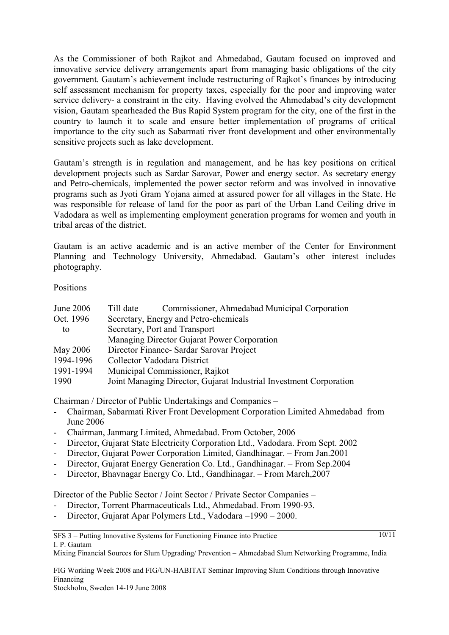As the Commissioner of both Rajkot and Ahmedabad, Gautam focused on improved and innovative service delivery arrangements apart from managing basic obligations of the city government. Gautam's achievement include restructuring of Rajkot's finances by introducing self assessment mechanism for property taxes, especially for the poor and improving water service delivery- a constraint in the city. Having evolved the Ahmedabad's city development vision, Gautam spearheaded the Bus Rapid System program for the city, one of the first in the country to launch it to scale and ensure better implementation of programs of critical importance to the city such as Sabarmati river front development and other environmentally sensitive projects such as lake development.

Gautam's strength is in regulation and management, and he has key positions on critical development projects such as Sardar Sarovar, Power and energy sector. As secretary energy and Petro-chemicals, implemented the power sector reform and was involved in innovative programs such as Jyoti Gram Yojana aimed at assured power for all villages in the State. He was responsible for release of land for the poor as part of the Urban Land Ceiling drive in Vadodara as well as implementing employment generation programs for women and youth in tribal areas of the district.

Gautam is an active academic and is an active member of the Center for Environment Planning and Technology University, Ahmedabad. Gautam's other interest includes photography.

**Positions** 

| June 2006 | Commissioner, Ahmedabad Municipal Corporation<br>Till date         |
|-----------|--------------------------------------------------------------------|
| Oct. 1996 | Secretary, Energy and Petro-chemicals                              |
| to        | Secretary, Port and Transport                                      |
|           | Managing Director Gujarat Power Corporation                        |
| May 2006  | Director Finance - Sardar Sarovar Project                          |
| 1994-1996 | Collector Vadodara District                                        |
| 1991-1994 | Municipal Commissioner, Rajkot                                     |
| 1990      | Joint Managing Director, Gujarat Industrial Investment Corporation |

Chairman / Director of Public Undertakings and Companies –

- Chairman, Sabarmati River Front Development Corporation Limited Ahmedabad from June 2006
- Chairman, Janmarg Limited, Ahmedabad. From October, 2006
- Director, Gujarat State Electricity Corporation Ltd., Vadodara. From Sept. 2002
- Director, Gujarat Power Corporation Limited, Gandhinagar. From Jan.2001
- Director, Gujarat Energy Generation Co. Ltd., Gandhinagar. From Sep.2004
- Director, Bhavnagar Energy Co. Ltd., Gandhinagar. From March,2007

Director of the Public Sector / Joint Sector / Private Sector Companies –

- Director, Torrent Pharmaceuticals Ltd., Ahmedabad. From 1990-93.
- Director, Gujarat Apar Polymers Ltd., Vadodara –1990 2000.

Mixing Financial Sources for Slum Upgrading/ Prevention – Ahmedabad Slum Networking Programme, India

FIG Working Week 2008 and FIG/UN-HABITAT Seminar Improving Slum Conditions through Innovative Financing

<sup>10/11</sup>